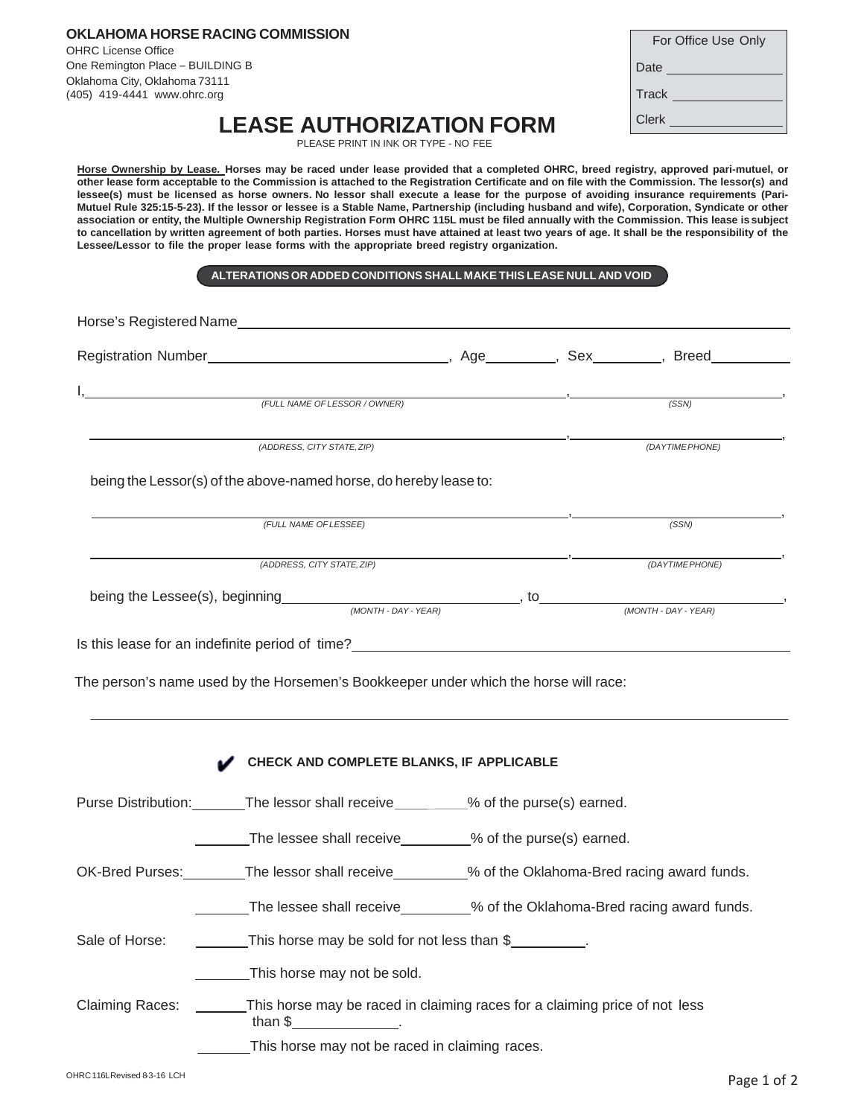**OKLAHOMA HORSE RACING COMMISSION** OHRC License Office One Remington Place – BUILDING B Oklahoma City, Oklahoma 73111 (405) 419-4441 www.ohrc.org

| For Office Use Only |
|---------------------|
| Date                |
| Track _             |
| Clerk               |

**LEASE AUTHORIZATION FORM**

PLEASE PRINT IN INK OR TYPE - NO FEE

**Horse Ownership by Lease. Horses may be raced under lease provided that a completed OHRC, breed registry, approved pari-mutuel, or other lease form acceptable to the Commission is attached to the Registration Certificate and on file with the Commission. The lessor(s) and lessee(s) must be licensed as horse owners. No lessor shall execute a lease for the purpose of avoiding insurance requirements (Pari-Mutuel Rule 325:15-5-23). If the lessor or lessee is a Stable Name, Partnership (including husband and wife), Corporation, Syndicate or other association or entity, the Multiple Ownership Registration Form OHRC 115L must be filed annually with the Commission. This lease is subject to cancellation by written agreement of both parties. Horses must have attained at least two years of age. It shall be the responsibility of the Lessee/Lessor to file the proper lease forms with the appropriate breed registry organization.**

**ALTERATIONS OR ADDED CONDITIONS SHALL MAKE THIS LEASE NULL AND VOID**

|                                                                      |                                                                                                                                   |                                         | Horse's Registered Name <b>contract the contract of the contract of the contract of the contract of the contract of the contract of the contract of the contract of the contract of the contract of the contract of the contract</b> |                |
|----------------------------------------------------------------------|-----------------------------------------------------------------------------------------------------------------------------------|-----------------------------------------|--------------------------------------------------------------------------------------------------------------------------------------------------------------------------------------------------------------------------------------|----------------|
|                                                                      |                                                                                                                                   |                                         |                                                                                                                                                                                                                                      |                |
|                                                                      |                                                                                                                                   |                                         |                                                                                                                                                                                                                                      | (SSN)          |
|                                                                      | (FULL NAME OF LESSOR / OWNER)                                                                                                     |                                         |                                                                                                                                                                                                                                      |                |
|                                                                      | (ADDRESS, CITY STATE, ZIP)                                                                                                        |                                         |                                                                                                                                                                                                                                      | (DAYTIMEPHONE) |
|                                                                      | being the Lessor(s) of the above-named horse, do hereby lease to:                                                                 |                                         |                                                                                                                                                                                                                                      |                |
|                                                                      | (FULL NAME OF LESSEE)                                                                                                             |                                         |                                                                                                                                                                                                                                      | (SSN)          |
|                                                                      | (ADDRESS, CITY STATE, ZIP)                                                                                                        | <u> 1989 - Johann Barbara, martin a</u> |                                                                                                                                                                                                                                      | (DAYTIMEPHONE) |
| being the Lessee(s), beginning (MONTH-DAY-YEAR), to (MONTH-DAY-YEAR) |                                                                                                                                   |                                         |                                                                                                                                                                                                                                      |                |
|                                                                      | The person's name used by the Horsemen's Bookkeeper under which the horse will race:                                              |                                         |                                                                                                                                                                                                                                      |                |
|                                                                      |                                                                                                                                   |                                         |                                                                                                                                                                                                                                      |                |
|                                                                      | CHECK AND COMPLETE BLANKS, IF APPLICABLE<br>Purse Distribution:________The lessor shall receive_________% of the purse(s) earned. |                                         |                                                                                                                                                                                                                                      |                |
|                                                                      | The lessee shall receive________% of the purse(s) earned.                                                                         |                                         |                                                                                                                                                                                                                                      |                |
|                                                                      | OK-Bred Purses: The lessor shall receive 50% of the Oklahoma-Bred racing award funds.                                             |                                         |                                                                                                                                                                                                                                      |                |
|                                                                      | The lessee shall receive________% of the Oklahoma-Bred racing award funds.                                                        |                                         |                                                                                                                                                                                                                                      |                |
| Sale of Horse:                                                       | This horse may be sold for not less than $$$                                                                                      |                                         |                                                                                                                                                                                                                                      |                |
|                                                                      | This horse may not be sold.                                                                                                       |                                         |                                                                                                                                                                                                                                      |                |
| <b>Claiming Races:</b>                                               | This horse may be raced in claiming races for a claiming price of not less<br>than \$                                             |                                         |                                                                                                                                                                                                                                      |                |